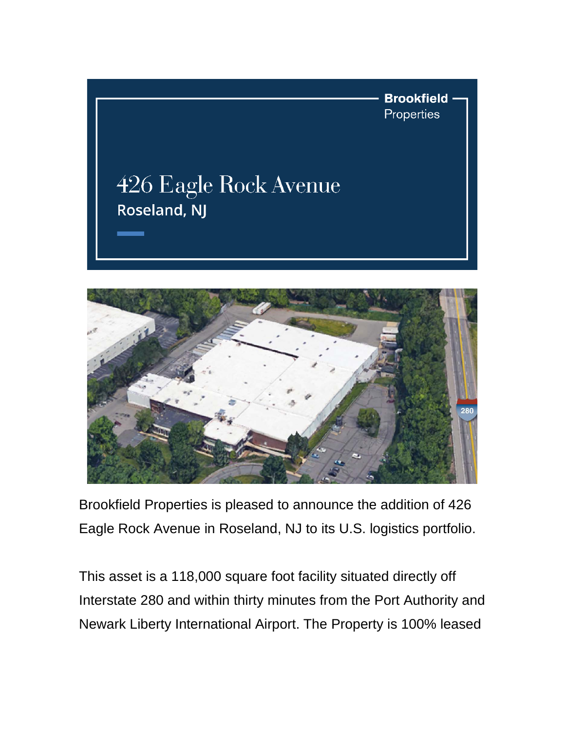



Brookfield Properties is pleased to announce the addition of 426 Eagle Rock Avenue in Roseland, NJ to its U.S. logistics portfolio.

This asset is a 118,000 square foot facility situated directly off Interstate 280 and within thirty minutes from the Port Authority and Newark Liberty International Airport. The Property is 100% leased